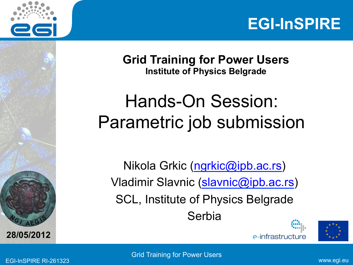



**Grid Training for Power Users Institute of Physics Belgrade** 

#### Hands-On Session: Parametric job submission

Nikola Grkic (ngrkic@ipb.ac.rs) Vladimir Slavnic (slavnic@ipb.ac.rs) SCL, Institute of Physics Belgrade Serbia





**A E <sup>G</sup>**

**28/05/2012**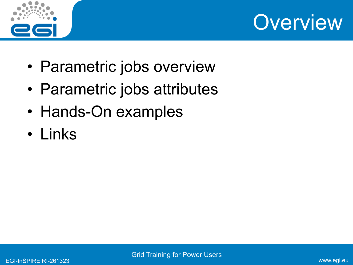



- Parametric jobs overview
- Parametric jobs attributes
- Hands-On examples
- Links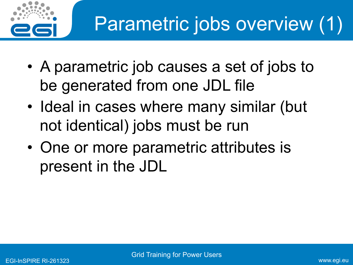

- A parametric job causes a set of jobs to be generated from one JDL file
- Ideal in cases where many similar (but not identical) jobs must be run
- One or more parametric attributes is present in the JDL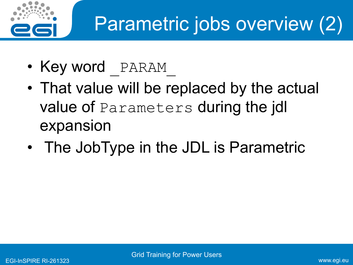

# Parametric jobs overview (2)

- Key word PARAM
- That value will be replaced by the actual value of Parameters during the jdl expansion
- The JobType in the JDL is Parametric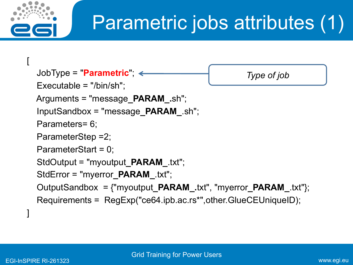

# Parametric jobs attributes (1)

```
 JobType = "Parametric"; 
 Executable = "/bin/sh"; 
 Arguments = "message_PARAM_.sh"; 
 InputSandbox = "message_PARAM_.sh"; 
 Parameters= 6; 
 ParameterStep =2; 
 ParameterStart = 0; 
 StdOutput = "myoutput_PARAM_.txt"; 
 StdError = "myerror_PARAM_.txt"; 
 OutputSandbox = {"myoutput_PARAM_.txt", "myerror_PARAM_.txt"}; 
 Requirements = RegExp("ce64.ipb.ac.rs*",other.GlueCEUniqueID); 
                                                    Type of job
```
]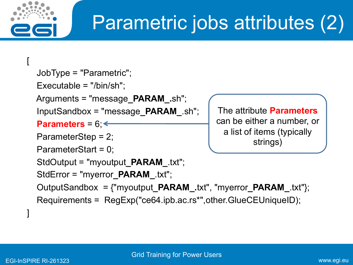

# Parametric jobs attributes (2)

```
 JobType = "Parametric"; 
 Executable = "/bin/sh"; 
 Arguments = "message_PARAM_.sh"; 
 InputSandbox = "message_PARAM_.sh"; 
 Parameters = 6; 
 ParameterStep = 2; 
 ParameterStart = 0; 
 StdOutput = "myoutput_PARAM_.txt"; 
 StdError = "myerror_PARAM_.txt"; 
 OutputSandbox = {"myoutput_PARAM_.txt", "myerror_PARAM_.txt"}; 
 Requirements = RegExp("ce64.ipb.ac.rs*",other.GlueCEUniqueID); 
                                             The attribute Parameters
                                             can be either a number, or 
                                               a list of items (typically 
                                                      strings)
```
]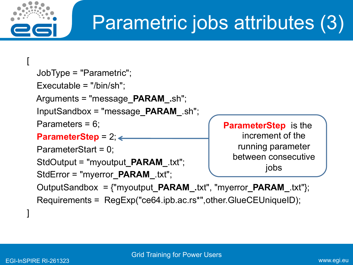

# Parametric jobs attributes (3)

```
 JobType = "Parametric"; 
 Executable = "/bin/sh"; 
 Arguments = "message_PARAM_.sh"; 
 InputSandbox = "message_PARAM_.sh"; 
 Parameters = 6; 
 ParameterStep = 2; 
 ParameterStart = 0; 
 StdOutput = "myoutput_PARAM_.txt"; 
 StdError = "myerror_PARAM_.txt"; 
 OutputSandbox = {"myoutput_PARAM_.txt", "myerror_PARAM_.txt"}; 
 Requirements = RegExp("ce64.ipb.ac.rs*",other.GlueCEUniqueID); 
                                              ParameterStep is the 
                                                   increment of the 
                                                  running parameter 
                                                 between consecutive 
                                                         jobs
```
]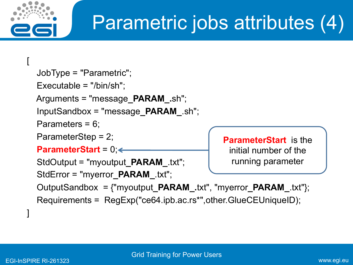

# Parametric jobs attributes (4)

```
 JobType = "Parametric"; 
   Executable = "/bin/sh"; 
  Arguments = "message_PARAM_.sh"; 
   InputSandbox = "message_PARAM_.sh"; 
   Parameters = 6; 
   ParameterStep = 2; 
   ParameterStart = 0; 
   StdOutput = "myoutput_PARAM_.txt"; 
   StdError = "myerror_PARAM_.txt"; 
   OutputSandbox = {"myoutput_PARAM_.txt", "myerror_PARAM_.txt"}; 
   Requirements = RegExp("ce64.ipb.ac.rs*",other.GlueCEUniqueID); 
] 
                                                ParameterStart is the 
                                                  initial number of the 
                                                  running parameter
```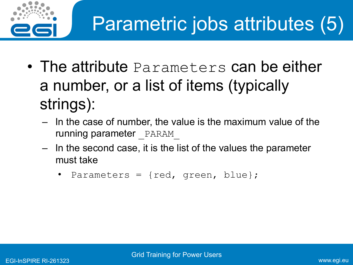

- The attribute Parameters can be either a number, or a list of items (typically strings):
	- In the case of number, the value is the maximum value of the running parameter PARAM
	- In the second case, it is the list of the values the parameter must take
		- Parameters =  $\{red, green, blue\};$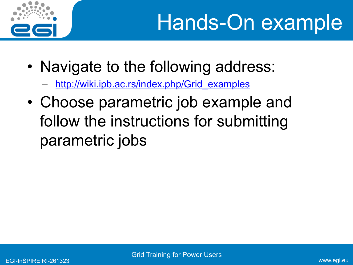

- Navigate to the following address:
	- http://wiki.ipb.ac.rs/index.php/Grid\_examples
- Choose parametric job example and follow the instructions for submitting parametric jobs